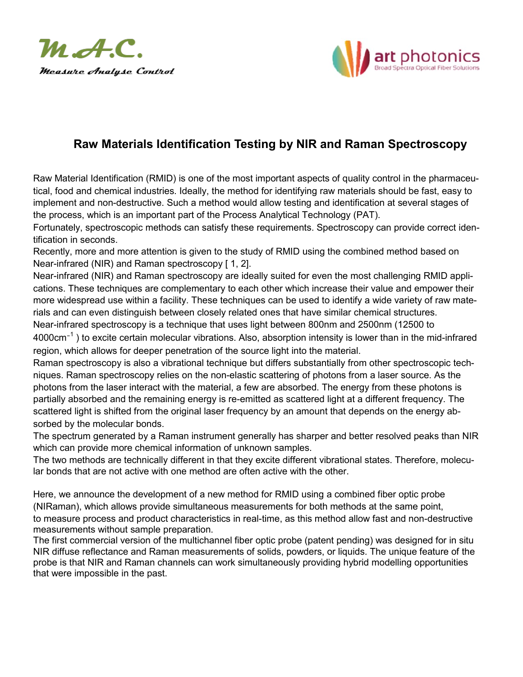



# **Raw Materials Identification Testing by NIR and Raman Spectroscopy**

Raw Material Identification (RMID) is one of the most important aspects of quality control in the pharmaceutical, food and chemical industries. Ideally, the method for identifying raw materials should be fast, easy to implement and non-destructive. Such a method would allow testing and identification at several stages of the process, which is an important part of the Process Analytical Technology (PAT).

Fortunately, spectroscopic methods can satisfy these requirements. Spectroscopy can provide correct identification in seconds.

Recently, more and more attention is given to the study of RMID using the combined method based on Near-infrared (NIR) and Raman spectroscopy [1, 2].

Near-infrared (NIR) and Raman spectroscopy are ideally suited for even the most challenging RMID applications. These techniques are complementary to each other which increase their value and empower their more widespread use within a facility. These techniques can be used to identify a wide variety of raw materials and can even distinguish between closely related ones that have similar chemical structures. Near-infrared spectroscopy is a technique that uses light between 800nm and 2500nm (12500 to

4000 $\rm cm^{-1}$  ) to excite certain molecular vibrations. Also, absorption intensity is lower than in the mid-infrared region, which allows for deeper penetration of the source light into the material.

Raman spectroscopy is also a vibrational technique but differs substantially from other spectroscopic techniques. Raman spectroscopy relies on the non-elastic scattering of photons from a laser source. As the photons from the laser interact with the material, a few are absorbed. The energy from these photons is partially absorbed and the remaining energy is re-emitted as scattered light at a different frequency. The scattered light is shifted from the original laser frequency by an amount that depends on the energy absorbed by the molecular bonds.

The spectrum generated by a Raman instrument generally has sharper and better resolved peaks than NIR which can provide more chemical information of unknown samples.

The two methods are technically different in that they excite different vibrational states. Therefore, molecular bonds that are not active with one method are often active with the other.

Here, we announce the development of a new method for RMID using a combined fiber optic probe (NIRaman), which allows provide simultaneous measurements for both methods at the same point, to measure process and product characteristics in real-time, as this method allow fast and non-destructive measurements without sample preparation.

The first commercial version of the multichannel fiber optic probe (patent pending) was designed for in situ NIR diffuse reflectance and Raman measurements of solids, powders, or liquids. The unique feature of the probe is that NIR and Raman channels can work simultaneously providing hybrid modelling opportunities that were impossible in the past.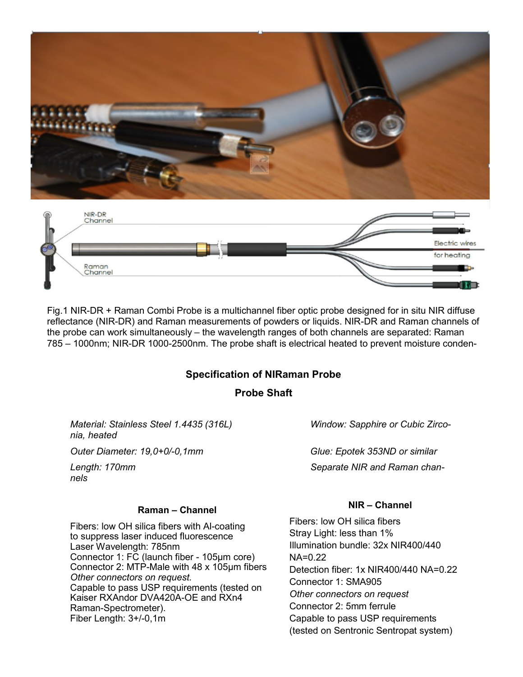



Fig.1 NIR-DR + Raman Combi Probe is a multichannel fiber optic probe designed for in situ NIR diffuse reflectance (NIR-DR) and Raman measurements of powders or liquids. NIR-DR and Raman channels of the probe can work simultaneously – the wavelength ranges of both channels are separated: Raman 785 – 1000nm; NIR-DR 1000-2500nm. The probe shaft is electrical heated to prevent moisture conden-

### **Specification of NIRaman Probe**

### **Probe Shaft**

*Material: Stainless Steel 1.4435 (316L) Window: Sapphire or Cubic Zirconia, heated*

*Outer Diameter: 19,0+0/-0,1mm Glue: Epotek 353ND or similar*

*nels*

Length: 170mm **Separate NIR and Raman chan-**

#### **Raman – Channel**

Fibers: low OH silica fibers with Al-coating to suppress laser induced fluorescence Laser Wavelength: 785nm Connector 1: FC (launch fiber - 105μm core) Connector 2: MTP-Male with 48 x 105μm fibers *Other connectors on request.*  Capable to pass USP requirements (tested on Kaiser RXAndor DVA420A-OE and RXn4 Raman-Spectrometer). Fiber Length: 3+/-0,1m

#### **NIR – Channel**

Fibers: low OH silica fibers Stray Light: less than 1% Illumination bundle: 32x NIR400/440 NA=0.22 Detection fiber: 1x NIR400/440 NA=0.22 Connector 1: SMA905 *Other connectors on request* Connector 2: 5mm ferrule Capable to pass USP requirements (tested on Sentronic Sentropat system)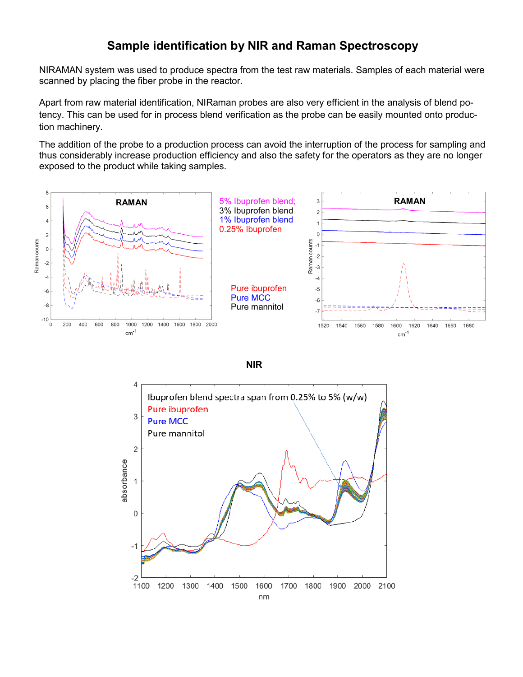## **Sample identification by NIR and Raman Spectroscopy**

NIRAMAN system was used to produce spectra from the test raw materials. Samples of each material were scanned by placing the fiber probe in the reactor.

Apart from raw material identification, NIRaman probes are also very efficient in the analysis of blend potency. This can be used for in process blend verification as the probe can be easily mounted onto production machinery.

The addition of the probe to a production process can avoid the interruption of the process for sampling and thus considerably increase production efficiency and also the safety for the operators as they are no longer exposed to the product while taking samples.